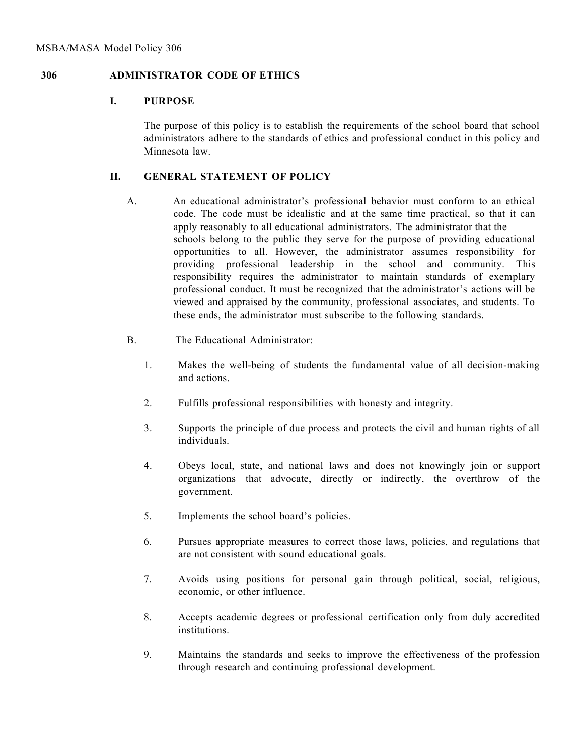## **306 ADMINISTRATOR CODE OF ETHICS**

## **I. PURPOSE**

The purpose of this policy is to establish the requirements of the school board that school administrators adhere to the standards of ethics and professional conduct in this policy and Minnesota law.

## **II. GENERAL STATEMENT OF POLICY**

- A. An educational administrator's professional behavior must conform to an ethical code. The code must be idealistic and at the same time practical, so that it can apply reasonably to all educational administrators. The administrator that the schools belong to the public they serve for the purpose of providing educational opportunities to all. However, the administrator assumes responsibility for providing professional leadership in the school and community. This responsibility requires the administrator to maintain standards of exemplary professional conduct. It must be recognized that the administrator's actions will be viewed and appraised by the community, professional associates, and students. To these ends, the administrator must subscribe to the following standards.
- B. The Educational Administrator:
	- 1. Makes the well-being of students the fundamental value of all decision-making and actions.
	- 2. Fulfills professional responsibilities with honesty and integrity.
	- 3. Supports the principle of due process and protects the civil and human rights of all individuals.
	- 4. Obeys local, state, and national laws and does not knowingly join or support organizations that advocate, directly or indirectly, the overthrow of the government.
	- 5. Implements the school board's policies.
	- 6. Pursues appropriate measures to correct those laws, policies, and regulations that are not consistent with sound educational goals.
	- 7. Avoids using positions for personal gain through political, social, religious, economic, or other influence.
	- 8. Accepts academic degrees or professional certification only from duly accredited institutions.
	- 9. Maintains the standards and seeks to improve the effectiveness of the profession through research and continuing professional development.